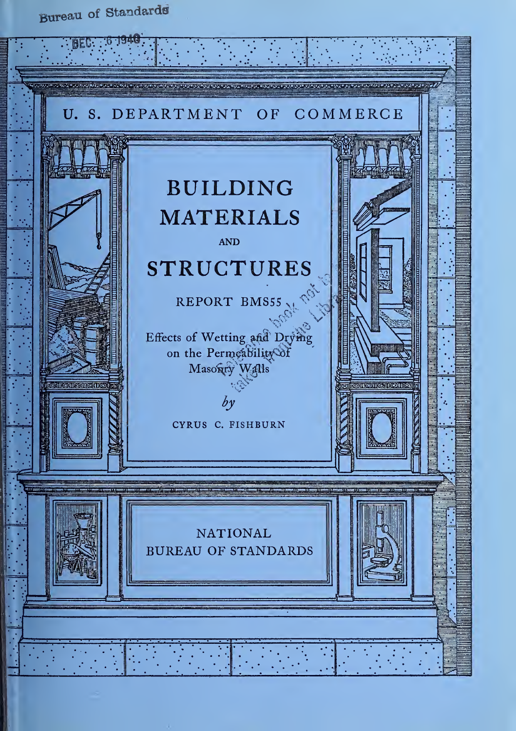Bureau of Standards

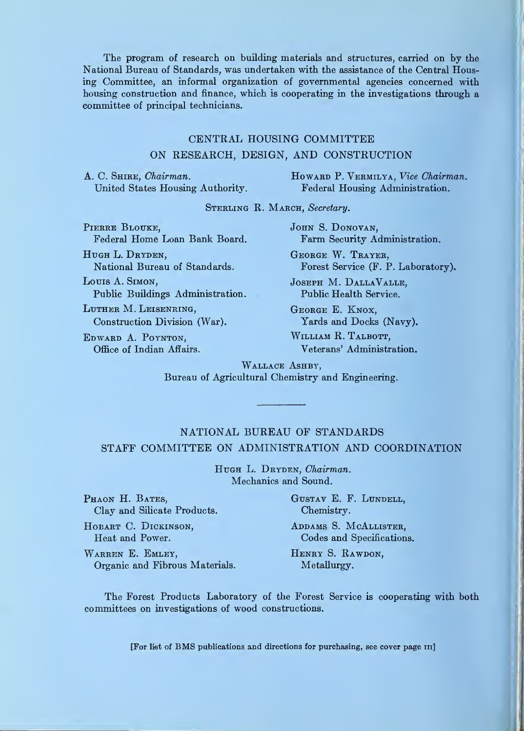The program of research on building materials and structures, carried on by the National Bureau of Standards, was undertaken with the assistance of the Central Housing Committee, an informal organization of governmental agencies concerned with housing construction and finance, which is cooperating in the investigations through a committee of principal technicians.

## CENTRAL HOUSING COMMITTEE ON RESEARCH, DESIGN, AND CONSTRUCTION

A. C. SHIRE, Chairman. United States Housing Authority. Howard P. Vermilya, Vice Chairman. Federal Housing Administration.

STERLING R. MARCH, Secretary.

PIERRE BLOUKE, Federal Home Loan Bank Board.

HUGH L. DRYDEN, National Bureau of Standards.

Loms A. Simon, Public Buildings Administration.

Luther M. Leisenring, Construction Division (War).

Edward A. Poynton, Office of Indian Affairs, JOHN S. DONOVAN, Farm Security Administration.

George W. Trayer, Forest Service (F. P. Laboratory).

Joseph M. DallaValle, Public Health Service.

George E. Knox, Yards and Docks (Navy).

William R. Talbott, Veterans' Administration.

WALLACE ASHBY. Bureau of Agricultural Chemistry and Engineering.

### NATIONAL BUREAU OF STANDARDS STAFF COMMITTEE ON ADMINISTRATION AND COORDINATION

HUGH L. DRYDEN, Chairman. Mechanics and Sound.

PHAON H. BATES, GUSTAV E. F. LUNDELL, Clay and Silicate Products. Chemistry.

HOBART C. DICKINSON, ADDAMS S. MCALLISTER,

Heat and Power. Codes and Specifications.

WARREN E. EMLEY, HENRY S. RAWDON, Organic and Fibrous Materials. Metallurgy.

The Forest Products Laboratory of the Forest Service is cooperating with both committees on investigations of wood constructions.

[For list of BMS publications and directions for purchasing, see cover page iii]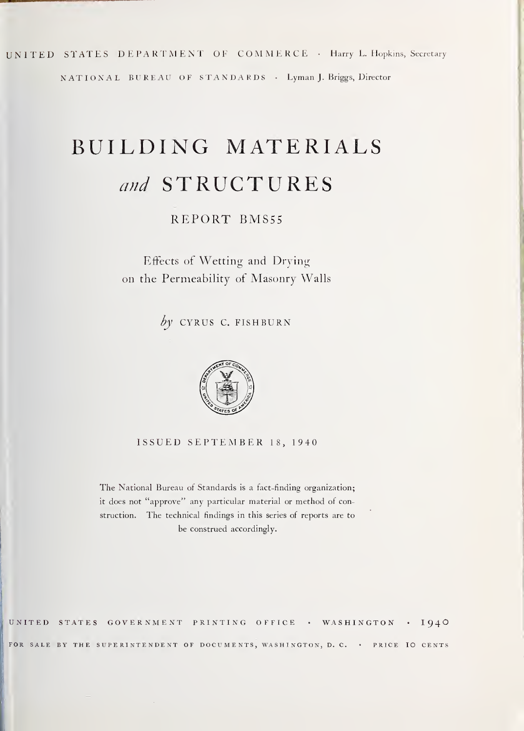UNITED STATES DEPARTMENT OF COMMERCE • Harry L. Hopkins, Secretary NATIONAL BUREAU OF STANDARDS • Lyman J. Briggs, Director

# BUILDING MATERIALS and STRUCTURES

REPORT BMS55

Effects of Wetting and Drying on the Permeability of Masonry Walls

 $by$  CYRUS C. FISHBURN



ISSUED SEPTEMBER 18, 1940

The National Bureau ot Standards is <sup>a</sup> fact-finding organization; it does not "approve" any particular material or method ot construction. The technical findings in this series of reports are to be construed accordingly.

UNITED STATES GOVERNMENT PRINTING OFFICE • WASHINGTON • I94O FOR SALE BY THE SUPERINTENDENT OF DOCUMENTS, WASHINGTON, D. C. . PRICE IO CENTS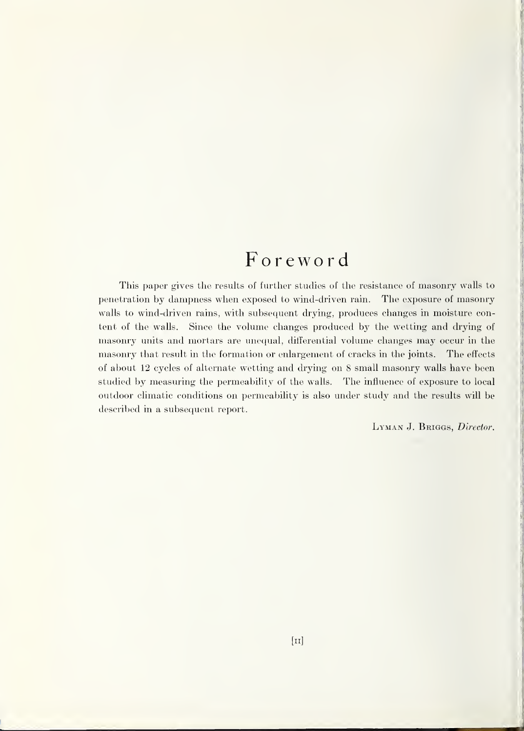## Foreword

This paper gives the results of further studies of the resistance of masonry walls to penetration by dampness when exposed to wind-driven rain. The exposure of masonry walls to wind-driven rains, with subsequent drying, produces changes in moisture content of the walls. Since the volume changes produced by the wetting and drying of masonry units and mortars are unequal, differential volume changes may occur in the masonry that result in the formation or enlargement of cracks in the joints. The effects of about 12 cycles of alternate wetting and drying on 8 small masonry walls have been studied by measuring the permeability of the walls. The influence of exposure to local outdoor climatic conditions on permeability is also under study and the results will be described in a subsequent report.

LYMAN J. BRIGGS, Director.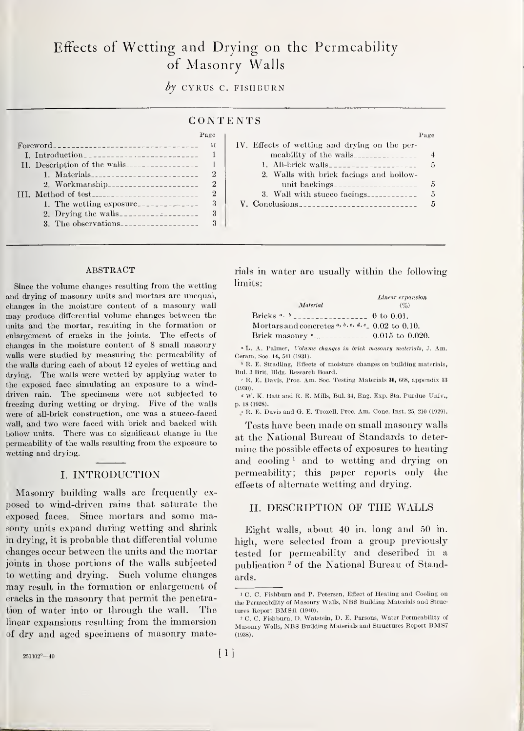## Effects of Wetting and Drying on the Permeability of Masonry Walls

by CYRUS C. FISHBURN

## CON ENTS

|                              | Page         |                                               | Page         |
|------------------------------|--------------|-----------------------------------------------|--------------|
|                              | $\mathbf{H}$ | IV. Effects of wetting and drying on the per- |              |
| I. Introduction              |              | meability of the walls                        |              |
| II. Description of the walls |              |                                               | $\mathbf{5}$ |
| 1. Materials                 |              | 2. Walls with brick facings and hollow-       |              |
| 2. Workmanship               |              |                                               |              |
|                              | -2           | 3. Wall with stucco facings.                  |              |
|                              |              |                                               |              |
|                              |              |                                               |              |
| 3. The observations          |              |                                               |              |

#### ABSTRACT

Since the volume changes resulting from the wetting and drying of masonry units and mortars are unequal, changes in the moisture content of a masonry wall may produce differential volume changes between the units and the mortar, resulting in the formation or enlargement of cracks in the joints. The effects of changes in the moisture content of 8 small masonry walls were studied by measuring the permeability of the walls during each of about 12 cycles of wetting and drying. The walls were wetted by applying water to the exposed face simulating an exposure to a winddriven rain. The specimens were not subjected to freezing during wetting or drying. Five of the walls were of all-brick construction, one was a stucco-faced wall, and two were faced with brick and backed with hollow units. There was no significant change in the permeability of the walls resulting from the exposure to wetting and drying.

#### I. INTRODUCTION

Masonry building walls are frequently ex posed to wind-driven rains that saturate the exposed faces. Since mortars and some masonry units expand during wetting and shrink in drying, it is probable that differential volume changes occur between the units and the mortar joints in those portions of the walls subjected to wetting and drying. Such volume changes may result in the formation or enlargement of cracks in the masonry that permit the penetration of water into or through the wall. The linear expansions resulting from the immersion of dry and aged specimens of masonry materials in water are usually within the following limits:

| Material                                                                                                         | <i>Linear</i> expansion<br>$(\%)$ |
|------------------------------------------------------------------------------------------------------------------|-----------------------------------|
|                                                                                                                  |                                   |
| Mortars and concretes $a, b, c, d, e$ 0.02 to 0.10.                                                              |                                   |
| Brick masonry $e_{\text{2}}$ = $e_{\text{3}}$ = $e_{\text{4}}$ = $e_{\text{5}}$ = $e_{\text{6}}$ 0.015 to 0.020. |                                   |

" L. A. Palmer, Volume changes in brick masonry materials, J. Am. Ceram. Soc. 14, 541 (1931).

<sup>b</sup> R. E. Stradling, Effects of moisture changes on building materials, Bui. 3 Brit. Bldg. Research Board.

' R. E. Davis, Proc. Am. Soc. Testing Materials 30, 668, appendix <sup>13</sup> (1930).

 $\sqrt[q]{W}$ , K. Hatt and R. E. Mills, Bul. 34, Eng. Exp. Sta. Purdue Univ., p. 18 (1928).

 $\cdot$  R. E. Davis and G. E. Troxell, Proc. Am. Conc. Inst. 25, 210 (1929).

Tests have been made on small masonry walls at the National Bureau of Standards to determine the possible effects of exposures to heating and eooling  $\frac{1}{2}$  and to wetting and drying on permeability; this paper reports only the effects of alternate wetting and drying.

#### II. DESCRIPTION OF THE WALLS

Eight walls, about 40 in. long and 50 in. high, were selected from a group previously tested for permeability and described in a publication <sup>2</sup> of the National Bureau of Standards.

<sup>I</sup> C. C. Fishburn and P. Petersen, Effect of Heating and Cooling on the Permeability of Masonry Walls, NBS Building Materials and Struc tures Report BMS41 (1940).

<sup>&#</sup>x27; C. C. Fishburn, D. Watstein, D. E. Parsons, Water Permeability of Masonry Walls, NBS Building Materials and Structures Report BMS7 (1938).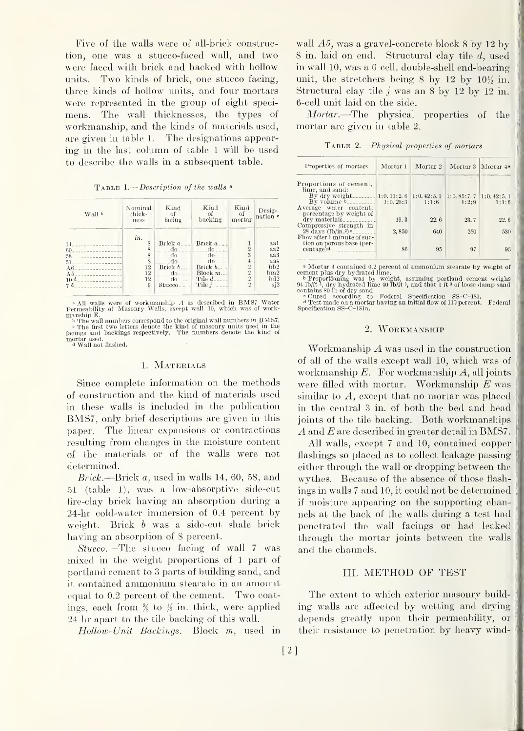Five of the walls were of all-brick construction, one was a stucco-faced wall, and two were faced with brick and backed with hollow units. Two kinds of brick, one stucco facing, three kinds of hollow units, and four mortars were represented in the group of eight speci mens. The wall thicknesses, the types of workmanship, and the kinds of materials used, are given in table 1. The designations appearing in the last column of table <sup>1</sup> will be used to describe the walls in a subsequent table.

| <b>TABLE 1.</b> —Description of the walls $\triangle$ |  |
|-------------------------------------------------------|--|
|-------------------------------------------------------|--|

| Wall b                       | Nominal<br>thick-<br>ness                                 | Kind<br>Gf<br>facing                                                 | Kind<br>- of<br>backing                                            | Kind<br>-of<br>mortar                                            | Desig-<br>nation ·                          |
|------------------------------|-----------------------------------------------------------|----------------------------------------------------------------------|--------------------------------------------------------------------|------------------------------------------------------------------|---------------------------------------------|
| 14                           | in.<br>8<br>$\mathbf{\hat{z}}$<br>8<br>$\mathbf{\hat{S}}$ | Brick $a_{--}$ Brick $a_{--}$<br>$d\theta$                           | $-$ do $  -$ do $ -$<br>- do                                       | $\overline{2}$<br>3                                              | aal<br>aa2<br>aa3                           |
| A6<br>A.5<br>10 <sup>d</sup> | 12<br>12<br>12<br>9                                       | $d\mathbf{o}$ .<br>Brick $b$ .<br>$d\sigma$<br>ರಂ<br>$Stuceo_{--}$ . | ₫o−<br>Brick $b_{-}$<br>Block $m_{--}$<br>Tile d.<br>Tile <i>i</i> | $\ddot{ }$<br>$\overline{2}$<br>$\overline{2}$<br>$\overline{2}$ | aa4<br>bb2<br>hm2<br>bd2<br>si <sub>2</sub> |

 $\bullet$  All walls were of workmanship A as described in BMS7 Water<br>Permeability of Masonry Walls, except wall 10, which was of work-

manship E.<br>
b The wall numbers correspond to the original wall numbers in BMS7,<br>
b The first two letters denote the kind of masonry units used in the<br>
facings and backings respectively. The numbers denote the kind of<br>
mor

#### 1. MATERIALS

Since complete information on the methods of construction and the kind of materials used in these walls is included in the publication BMS7, only brief descriptions are given in this paper. The linear expansions or contractions resulting from changes in the moisture content of the materials or of the walls were not determined.

Brick.—Brick a, used in walls 14, 60, 58, and 51 (table 1), was a low-absorptive side-cut fire-clay brick having an absorption during a 24-hr cold-water immersion of 0.4 percent by weight. Brick <sup>b</sup> was a side-cut shale brick having an absorption of 8 percent.

Stucco.—The stucco facing of wall <sup>7</sup> was mixed in the weight proportions of <sup>1</sup> part of Portland cement to <sup>3</sup> parts of building sand, and it contained ammonium stearate in an amount equal to 0.2 percent of the cement. Two coatings, each from  $\frac{3}{8}$  to  $\frac{1}{2}$  in. thick, were applied 24 hr apart to the tile backing of this wall.

Hollow- Unit Backings. Block m, used in

wall  $A5$ , was a gravel-concrete block 8 by 12 by 8 in. laid on end. Structural clay tile d, used in wall 10, was a 6-cell, double-shell end-bearing unit, the stretchers being 8 by 12 by  $10\frac{1}{2}$  in. Structural clay tile  $j$  was an 8 by 12 by 12 in. 6-cell unit laid on the side.

Mortar.—The physical properties of the mortar are given in table 2.

TABLE 2.—Physical properties of mortars

| Properties of mortars                 | Mortar <sub>1</sub> |       | Mortar 2 Mortar 3 Mortar 4 <sup>8</sup>              |       |
|---------------------------------------|---------------------|-------|------------------------------------------------------|-------|
| Proportions of cement,                |                     |       |                                                      |       |
| lime, and sand:                       |                     |       |                                                      |       |
|                                       |                     |       | $1:0, 42:5, 1 \quad 1:0, 85:7, 7 \quad 1:0, 42:5, 1$ |       |
| By volume $b$ <sub>---------</sub>    | 1:0.25:3            | 1:1:6 | 1:2:9                                                | 1:1:6 |
| Average water content;                |                     |       |                                                      |       |
| percentage by weight of               |                     |       |                                                      |       |
| $\rm{dry\ materials}_{\text{---}}$    | 19.3                | 22.6  | 23.7                                                 | 22.6  |
| Compressive strength in               |                     |       |                                                      |       |
|                                       |                     |       |                                                      |       |
| $28 \text{ days } (\text{lb/in.2})$ c | 2,850               | 640   | 250                                                  | 530   |
| Flow after 1 minute of suc-           |                     |       |                                                      |       |
| tion on porous base (per-             |                     |       |                                                      |       |
| centage <sup>d</sup>                  | 86                  | 95    | 97                                                   | 95    |
|                                       |                     |       |                                                      |       |

\* Mortar 4 contained 0.2 percent of ammonium stearate by weight of<br>
exercent plas dry hydrated line.<br>
b Proportioning was by weight, assuming portland cement weighs<br>
94 lb/ft<sup>3</sup>, dry hydrated line 40 lb/ft<sup>3</sup>, and that 1

#### 2. Workmanship

Workmanship A was used in the construction of all of the walls except wall 10, which was of workmanship  $E$ . For workmanship  $A$ , all joints were filled with mortar. Workmanship E was similar to A, except that no mortar was placed in the central 3 in. of both the bed and head joints of the tile backing. Both workmanships A and E are described in greater detail in BMS7.

All walls, except 7 and 10, contained copper flashings so placed as to collect leakage passing either through the wall or dropping between the wythes. Because of the absence of those flash ings in walls <sup>7</sup> and 10, it could not be determined ; if moisture appearing on the supporting channels at the back of the walls during a test had penetrated the wall facings or had leaked through the mortar joints between the walls and the channels.

#### III. METHOD OF TEST

The extent to which exterior masonry building walls are affected by wetting and drying depends greatly upon their permeability, or their resistance to penetration by heavy wind-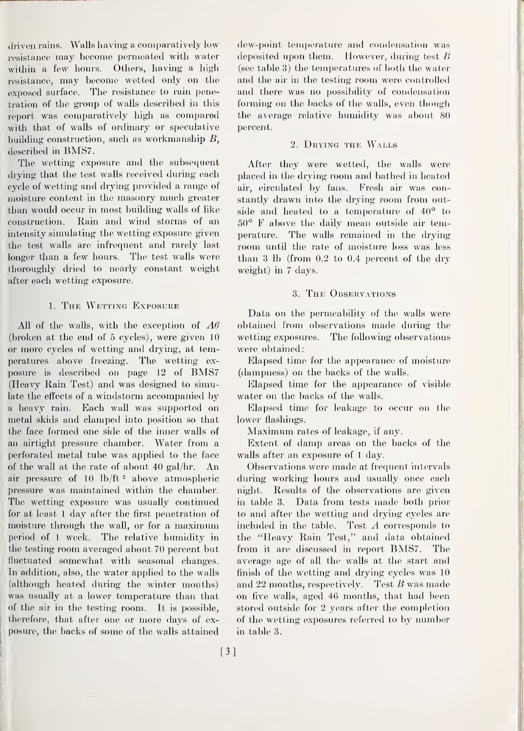driven rains. Walls having a comparatively low resistance may become permeated with water within a few hours. Others, having a high resistance, may become wetted only on the exposed surface. The resistance to rain penetration of the group of walls described in this report was comparatively high as compared with that of walls of ordinary or speculative building construction, such as workmanship B, described in BMS7.

The wetting exposure and the subsequent drying that the test walls received during each cycle of wetting and drying provided a range of moisture content in the masonry much greater than would occur in most building walls of like construction. Rain and wind storms of an intensity simulating the wetting exposure given the test walls are infrequent and rarely last longer than a few hours. The test walls were thoroughly dried to nearly constant weight after each wetting exposure.

#### 1. The Wetting Exposure

All of the walls, with the exception of  $A6$ (broken at the end of 5 cycles), were given 10 or more cycles of wetting and drying, at temperatures above freezing. The wetting ex posure is described on page <sup>12</sup> of BMS7 (Heavy Rain Test) and was designed to simulate the effects of a windstorm accompanied by a heavy rain. Each wall was supported on metal skids and clamped into position so that the face formed one side of the inner walls of an airtight pressure chamber. Water from a perforated metal tube was applied to the face of the wall at the rate of about 40 gal/hr. An air pressure of  $10 \, \text{lb/ft}$ <sup>2</sup> above atmospheric pressure was maintained within the chamber. The wetting exposure was usually continued for at least <sup>1</sup> day after the first penetration of moisture through the wall, or for a maximum period of <sup>1</sup> week. The relative humidity in the testing room averaged about 70 percent but fluctuated somewhat with seasonal changes, In addition, also, the water applied to the walls (although heated during the winter months) was usually at a lower temperature than that of the air in the testing room. It is possible, therefore, that after one or more days of exposure, the backs of some of the walls attained

dew-point temperature and condensation was deposited upon them. However, during test  $\overline{B}$ (see table 3) the temperatures of both the water and the air in the testing room were controlled and there was no possibility of condensation forming on the backs of the walls, even though the average relative humidity was about 80 percent.

#### 2. Drying the Walls

After they were wetted, the walls were placed in the drying room and bathed in heated air, circulated by fans. Fresh air was constantly drawn into the drying room from outside and heated to a temperature of 40° to 50° F above the daily mean outside air temperature. The walls remained in the drying room until the rate of moisture loss was less than 3 lb (from 0.2 to 0.4 percent of the dry weight) in 7 days.

#### 3. The Observations

Data on the permeability of the walls were obtained from observations made during the wetting exposures. The following observations were obtained:

Elapsed time for the appearance of moisture (dampness) on the backs of the walls.

Elapsed time for the appearance of visible water on the backs of the walls.

Elapsed time for leakage to occur on the lower flashings.

Maximum rates of leakage, if any.

Extent of damp areas on the backs of the walls after an exposure of <sup>1</sup> day.

Observations were made at frequent intervals during working hours and usually once each night. Results of the observations are given in table 3. Data from tests made both prior to and after the wetting and drying cycles are included in the table. Test A corresponds to the "Heavy Rain Test," and data obtained from it are discussed in report BMS7. The average age of all the walls at the start and finish of the wetting and drying cycles was 10 and 22 months, respectively. Test  $B$  was made on five walls, aged 46 months, that had been stored outside for 2 years after the completion of the wetting exposures referred to by number in table 3.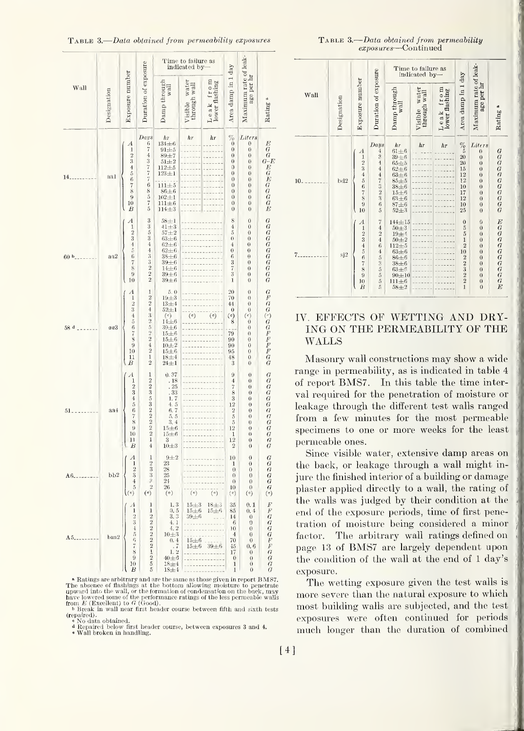TABLE 3.—Data obtained from permeability exposures

|                           |             |                                                                                                                                             |                                                                                                                     |                                                                                                                                                                                                                                                                                                                                          | Time to failure as<br>indicated by-                |                                |                                                                                                                                                                            |                                                                                                                                                                                                                                    |                                                                                                                                                                                                                                                                                                                            |
|---------------------------|-------------|---------------------------------------------------------------------------------------------------------------------------------------------|---------------------------------------------------------------------------------------------------------------------|------------------------------------------------------------------------------------------------------------------------------------------------------------------------------------------------------------------------------------------------------------------------------------------------------------------------------------------|----------------------------------------------------|--------------------------------|----------------------------------------------------------------------------------------------------------------------------------------------------------------------------|------------------------------------------------------------------------------------------------------------------------------------------------------------------------------------------------------------------------------------|----------------------------------------------------------------------------------------------------------------------------------------------------------------------------------------------------------------------------------------------------------------------------------------------------------------------------|
| Wall                      | Designation | Exposure number                                                                                                                             | Duration of exposure                                                                                                | $\frac{\text{Damp through}}{\text{wall}}$                                                                                                                                                                                                                                                                                                | water<br>Visible wate<br>through wall              | Leak from<br>lower flashing    | Area damp in 1 day                                                                                                                                                         | Maximum rate of leak-<br>age per hr                                                                                                                                                                                                | Rating <sup>a</sup>                                                                                                                                                                                                                                                                                                        |
| 14.                       | aal         | $A_{1} 2 3 4 5 6 7 8 9 10$<br>$\overline{B}$                                                                                                | Days<br>67437776<br>$8\frac{5}{7}$ 5                                                                                | $h\tau$<br>$134 + 6$<br>$91\pm5$<br>$89 + 7$<br>$51 + 2$<br>$112 + 5$<br>$123 + 1$<br>$111 + 5$<br>$86 + 6$<br>$\substack{102 \pm 1 \\ 111 \pm 6 \\ 114 \pm 3}$                                                                                                                                                                          | hr                                                 | $h\tau$                        | $\%0$<br>$\bf{0}$<br>$\boldsymbol{0}$<br>$\boldsymbol{0}$<br>0<br>$\boldsymbol{0}$<br>$\theta$<br>0<br>$\boldsymbol{0}$<br>0<br>0<br>0                                     | Liters<br>$\theta$<br>$\boldsymbol{0}$<br>$\boldsymbol{0}$<br>$\boldsymbol{0}$<br>$\overline{0}$<br>$\bf{0}$<br>$\boldsymbol{0}$<br>$\boldsymbol{0}$<br>$\boldsymbol{0}$<br>$\boldsymbol{0}$<br>$\boldsymbol{0}$<br>$\overline{0}$ | $\begin{array}{c} \hbox{\bf \emph{E}}\\ \hbox{\bf \emph{G}}\\ \hbox{\bf \emph{G}}\\ \hbox{\bf \emph{E}}\\ \hbox{\bf \emph{E}}\\ \hbox{\bf \emph{G}}\\ \hbox{\bf \emph{G}}\\ \hbox{\bf \emph{G}}\\ \hbox{\bf \emph{G}}\\ \hbox{\bf \emph{G}}\\ \hbox{\bf \emph{G}}\\ \hbox{\bf \emph{E}}\\ \hbox{\bf \emph{E}} \end{array}$ |
| 60 <sup>b</sup>           | aa2         | $\boldsymbol{A}$<br>$\begin{array}{c} 1\\2\\3\\4\\5\\6\\7\\8\\9\\10 \end{array}$                                                            | $\begin{array}{c} 3 \\ 3 \\ 5 \\ 3 \\ 4 \end{array}$<br>43322                                                       | $\substack{58 \pm 1 \\ 41 \pm 3}$<br>$57 + 2$<br>$63 + 6$<br>$62 + 6$<br>$62 + 6$<br>$38 + 6$<br>$39 + 6$<br>$14\pm6$<br>$39\pm6$<br>$39 + 6$                                                                                                                                                                                            |                                                    |                                | 8<br>$\overline{4}$<br>5<br>$\theta$<br>$\overline{4}$<br>$\boldsymbol{0}$<br>6<br>$\frac{3}{7}$<br>3<br>1                                                                 | $\bf{0}$<br>$\bf{0}$<br>$\bf{0}$<br>$\theta$<br>$\overline{0}$<br>$\boldsymbol{0}$<br>$\theta$<br>$\theta$<br>$\overline{0}$<br>$\overline{0}$<br>$\overline{0}$                                                                   | G G G G G G G G G G G                                                                                                                                                                                                                                                                                                      |
| 58 d                      | aa3         | $\Lambda$<br>$\frac{1}{2}$<br>$\begin{array}{c} 4 \\ 5 \\ 6 \end{array}$<br>7<br>$\frac{8}{9}$<br>10<br>$\mathbf{1}$<br>B                   | 1224325242                                                                                                          | 5.0<br>$19+3$<br>$^{13\pm4}$<br>$\begin{array}{c} \stackrel{\scriptstyle\text{13}\scriptstyle\text{14}\scriptstyle\text{15}}{14\scriptstyle\text{16}} \\ \stackrel{\scriptstyle\text{14}\scriptstyle\text{16}}{14\scriptstyle\text{16}} \end{array}$<br>$39 + 6$<br>$15 + 6$<br>$15\pm6$<br>$10 + 2$<br>$15 + 6$<br>$18\pm4$<br>$24 + 1$ | (e)                                                | $\left( \circ \right)$         | 20<br>70<br>44<br>$\bf{0}$<br>$^{\circ}$<br>8<br>79<br>90<br>90<br>95<br>48<br>3                                                                                           | $\boldsymbol{0}$<br>$\theta$<br>$\boldsymbol{0}$<br>$\boldsymbol{0}$<br>(e)<br>$\overline{0}$<br>$\boldsymbol{0}$<br>0<br>$\boldsymbol{0}$<br>$\theta$<br>$\boldsymbol{0}$<br>$\boldsymbol{0}$<br>$\overline{0}$                   | $\begin{array}{c} G \\ F \\ G \end{array}$<br>$G \cap G \subseteq F \subseteq F \subseteq G \subseteq G$                                                                                                                                                                                                                   |
| 51.                       | aa4         | А<br>$\bf{l}$<br>$\frac{2}{3}$<br>$\ddot{4}$<br>$\rm 5$<br>$\,6$<br>$\overline{7}$<br>8<br>$\overline{9}$<br>10<br>11<br>$\boldsymbol{B}$   | $\mathbf 1$<br>2233532222<br>$\mathbf{1}$<br>$\overline{4}$                                                         | 0.37<br>.18<br>$\frac{25}{33}$<br>$1.7$<br>$4.5$<br>$6.7$<br>$5.5$<br>3.4<br>$15 + 6$<br>$15 + 6$<br>3<br>$10\pm3$                                                                                                                                                                                                                       |                                                    |                                | 9<br>$\overline{4}$<br>7<br>$\begin{smallmatrix}8\\3\end{smallmatrix}$<br>$\overline{12}$<br>$\overline{2}$<br>$\frac{5}{5}$<br>12<br>$\mathbf{1}$<br>12<br>$\overline{2}$ | $\theta$<br>$\theta$<br>$\theta$<br>$\boldsymbol{0}$<br>$\theta$<br>$\overline{0}$<br>$\boldsymbol{0}$<br>$\boldsymbol{0}$<br>$\overline{0}$<br>$\boldsymbol{0}$<br>$\theta$<br>$\boldsymbol{0}$<br>$\theta$                       | $\boldsymbol{G}$<br>G<br>G<br>$\boldsymbol{G}$<br>G<br>G<br>$G \overline G$<br>$G \overline G$<br>$G$                                                                                                                                                                                                                      |
| A6.                       | bb2         | A<br>1<br>$\begin{smallmatrix}2\3\0\4\end{smallmatrix}$<br>$^{\circ})$                                                                      | 1<br>$\binom{6}{x}$                                                                                                 | $9+2$<br>23<br>$\frac{28}{25}$<br>$\frac{25}{26}$<br>(e)                                                                                                                                                                                                                                                                                 | $\left( \,e\right)$                                | $\bar{\left(\,e\right)}$       | 10<br>1<br>$\boldsymbol{0}$<br>$\theta$<br>$\theta$<br>$\frac{10}{(e)}$                                                                                                    | $\theta$<br>$\boldsymbol{0}$<br>$\theta$<br>$\theta$<br>$\theta$<br>$\check{e}$                                                                                                                                                    | $G \overline G$ $G \overline G$ $G \overline G$                                                                                                                                                                                                                                                                            |
| $A5$ <sub>---------</sub> | $_{bin2}$   | А<br>1<br>$\frac{1}{3}$<br>$\boldsymbol{4}$<br>$\tilde{\text{o}}$<br>$\mathcal{L}_{\mathcal{I}}$<br>$\overline{7}$<br>8<br>$9\,$<br>10<br>B | 1<br>1<br>$\,2$<br>$\overline{2}$<br>$\,2$<br>$\,2$<br>$\,2$<br>$\,2$<br>Ĩ<br>$\overline{2}$<br>$\overline{5}$<br>5 | 1.3<br>0.5<br>3.3<br>4.1<br>4, 2<br>$10\pm3$<br>$\frac{0.4}{0.7}$<br>1.2<br>$40\pm6$<br>$18 + 4$<br>$18 \pm 4$                                                                                                                                                                                                                           | $15+3$<br>$15\pm6$<br>39±6<br>$15\pm6$<br>$15\pm6$ | $18\pm3$<br>$15 + 6$<br>$39+6$ | 35<br>85<br>14<br>-6<br>10<br>$\overline{4}$<br>70<br>45<br>17<br>$\bf{0}$<br>1<br>1                                                                                       | 0.1<br>0.4<br>$\theta$<br>0<br>$\boldsymbol{0}$<br>$\theta$<br>$\boldsymbol{0}$<br>0, 6<br>$\bf{0}$<br>$\theta$<br>$\boldsymbol{0}$<br>0                                                                                           | F<br><i>FGGGGFFGGG</i><br>G                                                                                                                                                                                                                                                                                                |

• Ratings are arbitrary and are the same as those given in report BMS7.<br>The absence of flashings at the bottom allowing moisture to penetrate<br>upward into the wall, or the formation of condensation on the back, may<br>have lo

**b** Break in wall near first header course between fifth and sixth tests

(repaired). » No data obtained.

<sup>i</sup> Repaired below first header course, between exposures <sup>3</sup> and 4.

• Wall broken in handling.

[4]

|  |                     | <b>TABLE 3.</b> —Data obtained from permeability |  |
|--|---------------------|--------------------------------------------------|--|
|  | exposures—Continued |                                                  |  |

|         |             |                                                                                                                                                   |                                                                                                                                             |                                                                                                                                                                                  | Time to failure as<br>indicated by-                  |                             |                                                                                                                                                   |                                                                                                                                                                                                                        |                       |
|---------|-------------|---------------------------------------------------------------------------------------------------------------------------------------------------|---------------------------------------------------------------------------------------------------------------------------------------------|----------------------------------------------------------------------------------------------------------------------------------------------------------------------------------|------------------------------------------------------|-----------------------------|---------------------------------------------------------------------------------------------------------------------------------------------------|------------------------------------------------------------------------------------------------------------------------------------------------------------------------------------------------------------------------|-----------------------|
| Wall    | Designation | Exposure number                                                                                                                                   | Duration of exposure                                                                                                                        | Damp through<br>wall                                                                                                                                                             | water<br>through wall<br>Visible                     | Leak from<br>lower flashing | Area damp in 1 day                                                                                                                                | Maximum rate of leak-<br>age per hr                                                                                                                                                                                    | Rating <sup>a</sup>   |
| $10-$   | bd2         | $\begin{smallmatrix} A\1\2\3\3\4 \end{smallmatrix}$<br>$\begin{array}{c} 5 \\ 6 \end{array}$<br>$\begin{smallmatrix}7\\8\\9\\10\end{smallmatrix}$ | Days<br>$\boldsymbol{4}$<br>$\sqrt{3}$<br>$\overline{4}$<br>$\overline{4}$<br>$\frac{4}{7}$<br>$\frac{3}{2}$<br>$\frac{6}{5}$               | $\hbar r$<br>$61\pm6$<br>$39 + 6$<br>$\begin{array}{r} 65 \pm 5 \\ 62 \pm 6 \\ 63 \pm 6 \\ 85 \pm 5 \\ 38 \pm 6 \\ 15 \pm 6 \\ 63 \pm 6 \\ 87 \pm 6 \\ 52 \pm 3 \end{array}$     | hr<br>----<br><b>Contract Contract Contract</b><br>. | hr                          | $\%_{\substack{6\,\\5}$<br>$20\,$<br>20<br>$\frac{15}{12}$<br>$10\,$<br>$\frac{17}{12}$<br>$\frac{10}{25}$                                        | Liters<br>$\theta$<br>$\theta$<br>$\overline{0}$<br>$\theta$<br>$\theta$<br>$\theta$<br>$\overline{0}$<br>$\overline{0}$<br>$\boldsymbol{0}$<br>$\begin{matrix} 0 \\ 0 \end{matrix}$                                   | G G G G G G G G G G G |
| $7 - -$ | sj2         | $A_{1}$ <sub>2</sub> $3$ <sub>4</sub> $5$ $6$ $7$<br>8<br>9<br>$^{10}_{\;\;B}$                                                                    | $^{7}_{4}$ $^{4}_{2}$ $^{4}_{4}$<br>$\overline{6}$<br>$\overline{4}$<br>$\frac{5}{5}$<br>$\overline{5}$<br>$\overline{5}$<br>$\overline{5}$ | $144 + 15$<br>$50 \pm 3$<br>$19 \pm 4$<br>$50 \pm 2$<br>$112 \pm 5$<br>$63 \pm 6$<br>$86 \pm 6$<br>$38 \pm 6$<br>$29 \pm 6$<br>$63\pm 6$<br>$90\pm 10$<br>$111\pm 6$<br>$58 + 2$ | -----                                                |                             | $\begin{smallmatrix} 0 & 5 \\ 5 & 5 \\ 2 & 1 \end{smallmatrix}$<br>$\begin{smallmatrix} 10 & 2 \\ 2 & 2 \\ 3 & 2 \\ 2 & 2 \\ 1 \end{smallmatrix}$ | $\overline{0}$<br>$\overline{0}$<br>$\overline{0}$<br>$\overline{0}$<br>$\overline{0}$<br>$\overline{0}$<br>$\overline{0}$<br>$\overline{0}$<br>$\overline{0}$<br>$\overline{0}$<br>$\boldsymbol{0}$<br>$\overline{0}$ | EGGGGGGGGGE           |

#### IV. EFFECTS OF WETTING AND DRY-ING ON THE PERMEABILITY OF THE WALLS

Masonry wall constructions may show <sup>a</sup> wide range in permeability, as is indicated in table 4 of report BMS7. In this table the time interval required for the penetration of moisture or leakage through the different test walls ranged from a few minutes for the most permeable specimens to one or more weeks for the least permeable ones.

Since visible water, extensive damp areas on the back, or leakage through a wall might in jure the finished interior of a building or damage plaster applied directly to a wall, the rating of the walls was judged by their condition at the end of the exposure periods, time of first penetration of moisture being considered a minor factor. The arbitrary wall ratings defined on page <sup>13</sup> of BMS7 are largely dependent upon the condition of the wall at the end of <sup>1</sup> day's exposure.

The wetting exposure given the test walls is more severe than the natural exposure to which most building walls are subjected, and the test exposures were often continued for periods much longer than the duration of combined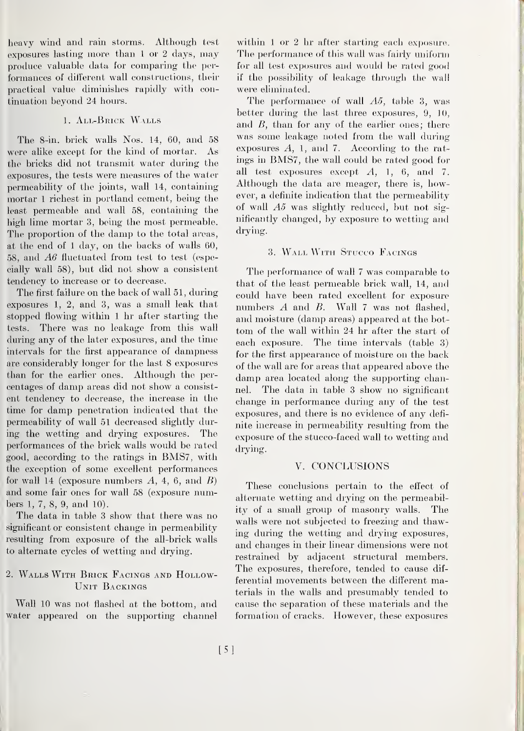heavy wind and rain storms. Although test exposures lasting more than <sup>1</sup>or <sup>2</sup> days, may produce valuable data for comparing the per formances of different wall constructions, their practical value diminishes rapidly with continuation beyond 24 hours.

#### 1. All-Brick Walls

The 8-in. brick walls Nos. 14, 60, and 58 were alike except for the kind of mortar. As the bricks did not transmit water during the exposures, the tests were measures of the water permeability of the joints, wall 14, containing mortar <sup>1</sup> richest in portland cement, being the least permeable and wall 58, containing the high lime mortar 3, being the most permeable. The proportion of the damp to the total areas, at the end of <sup>1</sup> day, on the backs of walls 60, 58, and A6 fluctuated from test to test (especially wall 58), but did not show a consistent tendency to increase or to decrease.

The first failure on the back of wall 51, during exposures 1, 2, and 3, was a small leak that stopped flowing within <sup>1</sup> hr after starting the tests. There was no leakage from this wall during amy of the later exposures, and the time intervals for the first appearance of dampness are considerably longer for the last 8 exposures than for the earlier ones. Although the per centages of damp areas did not show a consist ent tendency to decrease, the increase in the time for damp penetration indicated that the permeability of wall 51 decreased slightly during the wetting and drying exposures. The performances of the brick walls would be rated good, according to the ratings in BMS7, with the exception of some excellent performances for wall 14 (exposure numbers  $A$ , 4, 6, and  $B$ ) and some fair ones for wall 58 (exposure numbers 1, 7, 8, 9, and 10).

The data in table <sup>3</sup> show that there was no significant or consistent change in permeability resulting from exposure of the all-brick walls to alternate cycles of wetting and drying.

#### 2. Walls With Brick Facings and Hollow-Unit Backings

Wall 10 was not flashed at the bottom, and water appeared on the supporting channel within 1 or 2 hr after starting each exposure. The performance of this wall was fairly uniform for all test exposures and would be rated good if the possibility of leakage through the wall were eliminated.

The performance of wall A5, table 3, was better during the last three exposures,  $9, 10,$ and  $B$ , than for any of the earlier ones; there was some leakage noted from the wall during exposures A, 1, and 7. According to the rat ings in BMS7, the wall could be rated good for all test exposures except  $A$ , 1, 6, and 7. Although the data are meager, there is, however, a definite indication that the permeability of wall A5 was slightly reduced, but not significantly changed, by exposure to wetting and drying.

#### 3. Wall With Stucco Facings

The performance of wall <sup>7</sup> was comparable to that of the least permeable brick wall, 14, and could have been rated excellent for exposure numbers  $A$  and  $B$ . Wall 7 was not flashed, and moisture (damp areas) appeared at the bottom of the wall within 24 hr after the start of each exposure. The time intervals (table 3) for the first appearance of moisture on the back of the wall are for areas that appeared above the damp area located along the supporting channel. The data in table <sup>3</sup> show no significant change in performance during any of the test exposures, and there is no evidence of any defi nite increase in permeability resulting from the exposure of the stucco-faced wall to wetting and drying.

#### V. CONCLUSIONS

These conclusions pertain to the effect of alternate wetting and drying on the permeability of a small group of masonry walls. The walls were not subjected to freezing and thawing during the wetting and drying exposures, and changes in their linear dimensions were not restrained by adjacent structural members. The exposures, therefore, tended to cause dif ferential movements between the different materials in the walls and presumably tended to cause the separation of these materials and the formation of cracks. However, these exposures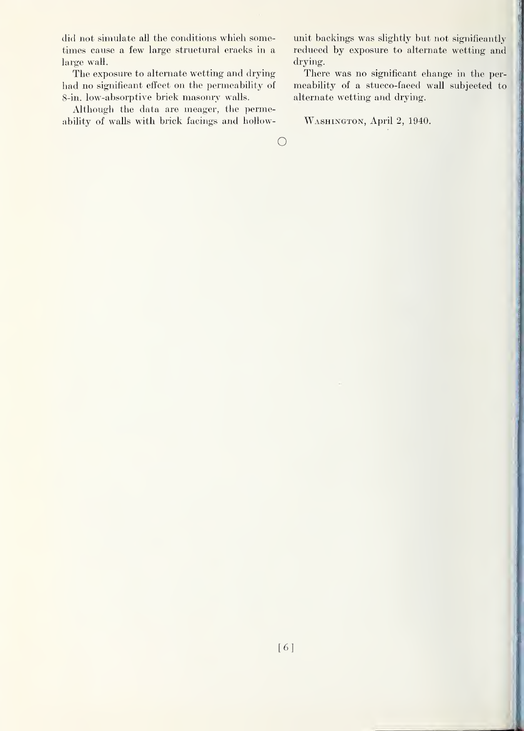did not simulate all the conditions which sometimes cause a few large structural eracks in a large wall.

The exposure to alternate wetting and drying had no significant effect on the permeability of 8-in. low-absorptive brick masonry walls.

Although the data are meager, the permeability of walls with brick facings and hollowunit backings was slightly but not significantly reduced by exposure to alternate wetting and drying.

There was no significant change in the per meability of a stucco-faced wall subjected to alternate wetting and drying.

Washington, April 2, 1940.

 $\bigcirc$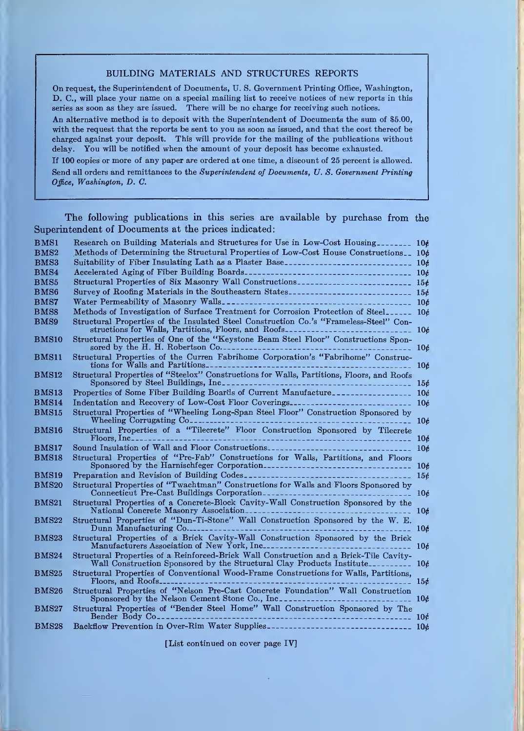#### BUILDING MATERIALS AND STRUCTURES REPORTS

On request, the Superintendent of Documents, U. S. Government Printing Office, Washington, D. C, will place your name on a special mailing list to receive notices of new reports in this series as soon as they are issued. There will be no charge for receiving such notices.

An alternative method is to deposit with the Superintendent of Documents the sum of \$5.00, with the request that the reports be sent to you as soon as issued, and that the cost thereof be charged against your deposit. This will provide for the mailing of the publications without delay. You will be notified when the amount of your deposit has become exhausted.

If 100 copies or more of any paper are ordered at one time, a discount of 25 percent is allowed. Send all orders and remittances to the Superintendent of Documents, U.S. Government Printing Office, Washington, D. C.

The following publications in this series are available by purchase from the Superintendent of Documents at the prices indicated:

| BMS1         |                                                                                                                                                                                                                                                                                                                    |                 |
|--------------|--------------------------------------------------------------------------------------------------------------------------------------------------------------------------------------------------------------------------------------------------------------------------------------------------------------------|-----------------|
| BMS2         | Methods of Determining the Structural Properties of Low-Cost House Constructions 106                                                                                                                                                                                                                               |                 |
| BMS3         | Suitability of Fiber Insulating Lath as a Plaster Base--------------------------- 10¢                                                                                                                                                                                                                              |                 |
| BMS4         |                                                                                                                                                                                                                                                                                                                    |                 |
| BMS5         |                                                                                                                                                                                                                                                                                                                    |                 |
| BMS6         |                                                                                                                                                                                                                                                                                                                    |                 |
| BMS7         |                                                                                                                                                                                                                                                                                                                    |                 |
| <b>BMS8</b>  | Methods of Investigation of Surface Treatment for Corrosion Protection of Steel_______ 10¢                                                                                                                                                                                                                         |                 |
| BMS9         | Structural Properties of the Insulated Steel Construction Co.'s "Frameless-Steel" Con-<br>structions for Walls, Partitions, Floors, and Roofs                                                                                                                                                                      | 10 <sub>c</sub> |
| <b>BMS10</b> | Structural Properties of One of the "Keystone Beam Steel Floor" Constructions Spon-<br>sored by the H. H. Robertson $Co$ .                                                                                                                                                                                         | 10 <sub>e</sub> |
| BMS11        | Structural Properties of the Curren Fabrihome Corporation's "Fabrihome" Construc-                                                                                                                                                                                                                                  | 10 <sub>e</sub> |
| <b>BMS12</b> | Structural Properties of "Steelox" Constructions for Walls, Partitions, Floors, and Roofs                                                                                                                                                                                                                          |                 |
| BMS13        | Properties of Some Fiber Building Boards of Current Manufacture                                                                                                                                                                                                                                                    |                 |
| <b>BMS14</b> |                                                                                                                                                                                                                                                                                                                    |                 |
| <b>BMS15</b> | Structural Properties of "Wheeling Long-Span Steel Floor" Construction Sponsored by<br>Wheeling Corrugating Co<br>------------------- 10¢                                                                                                                                                                          |                 |
| <b>BMS16</b> |                                                                                                                                                                                                                                                                                                                    | 10 <sub>c</sub> |
| BMS17        |                                                                                                                                                                                                                                                                                                                    | 10 <sub>d</sub> |
| <b>BMS18</b> | Structural Properties of "Pre-Fab" Constructions for Walls, Partitions, and Floors<br>Sponsored by the Harnischfeger Corporation                                                                                                                                                                                   | 10 <sub>c</sub> |
| BMS19        | Preparation and Revision of Building Codes                                                                                                                                                                                                                                                                         | 156             |
| <b>BMS20</b> | Structural Properties of "Twachtman" Constructions for Walls and Floors Sponsored by<br>Connecticut Pre-Cast Buildings Corporation                                                                                                                                                                                 | 10c             |
| <b>BMS21</b> | Structural Properties of a Concrete-Block Cavity-Wall Construction Sponsored by the                                                                                                                                                                                                                                | 10 <sub>c</sub> |
| <b>BMS22</b> | Structural Properties of "Dun-Ti-Stone" Wall Construction Sponsored by the W. E.<br>Dunn Manufacturing $Co_{\text{---}}$                                                                                                                                                                                           | 106             |
| <b>BMS23</b> | Structural Properties of a Brick Cavity-Wall Construction Sponsored by the Brick<br>Manufacturers Association of New York, Inc.<br><u>.</u>                                                                                                                                                                        | 10 <sub>e</sub> |
| <b>BMS24</b> | Structural Properties of a Reinforced-Brick Wall Construction and a Brick-Tile Cavity-<br>Wall Construction Sponsored by the Structural Clay Products Institute                                                                                                                                                    | 10 <sub>t</sub> |
| <b>BMS25</b> | Structural Properties of Conventional Wood-Frame Constructions for Walls, Partitions,                                                                                                                                                                                                                              | 156             |
| <b>BMS26</b> | Structural Properties of "Nelson Pre-Cast Concrete Foundation" Wall Construction<br>Sponsored by the Nelson Cement Stone Co., Inc. 100 and 100 and 100 and 100 and 100 and 100 and 100 and 100 and 100 and 100 and 100 and 100 and 100 and 100 and 100 and 100 and 100 and 100 and 100 and 100 and 100 and 100 and |                 |
| <b>BMS27</b> | Structural Properties of "Bender Steel Home" Wall Construction Sponsored by The Bender Body Connection of the state of the state of the state of the state of the state of the state of the state of the state of the state of                                                                                     | 10 <sub>c</sub> |
| <b>BMS28</b> | Backflow Prevention in Over-Rim Water Supplies--------------------------------- 10¢                                                                                                                                                                                                                                |                 |

[List continued on cover page IV]